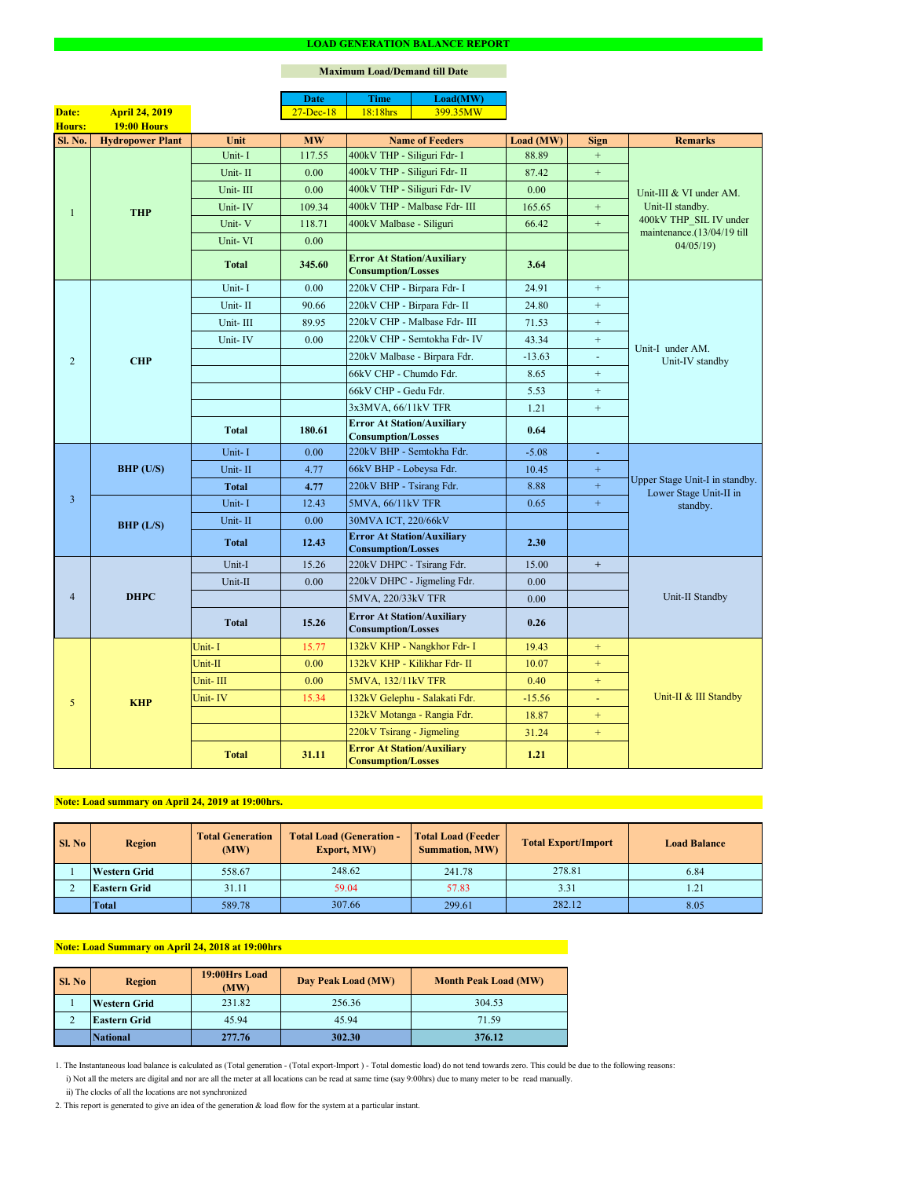2. This report is generated to give an idea of the generation & load flow for the system at a particular instant.

#### **Maximum Load/Demand till Date**

ii) The clocks of all the locations are not synchronized

1. The Instantaneous load balance is calculated as (Total generation - (Total export-Import ) - Total domestic load) do not tend towards zero. This could be due to the following reasons:

| SI. No | <b>Total Generation</b><br><b>Region</b><br>(MW) |        | <b>Total Load (Generation -</b><br><b>Export, MW)</b> | <b>Total Load (Feeder</b><br><b>Summation, MW)</b> |        | <b>Load Balance</b> |
|--------|--------------------------------------------------|--------|-------------------------------------------------------|----------------------------------------------------|--------|---------------------|
|        | <b>Western Grid</b>                              | 558.67 | 248.62                                                | 241.78                                             | 278.81 | 6.84                |
|        | <b>Eastern Grid</b>                              | 31.11  | 59.04                                                 | 57.83                                              | 3.31   | 1.21                |
|        | <b>Total</b>                                     | 589.78 | 307.66                                                | 299.61                                             | 282.12 | 8.05                |

| <b>Sl. No</b> | <b>Region</b>       | 19:00Hrs Load<br>(MW) | Day Peak Load (MW) | <b>Month Peak Load (MW)</b> |
|---------------|---------------------|-----------------------|--------------------|-----------------------------|
|               | <b>Western Grid</b> | 231.82                | 256.36             | 304.53                      |
| ∠             | <b>Eastern Grid</b> | 45.94                 | 45.94              | 71.59                       |
|               | National            | 277.76                | 302.30             | 376.12                      |

## **Note: Load summary on April 24, 2019 at 19:00hrs.**

|                |                         |              | <b>Date</b>   | <b>Time</b>                                                    | Load(MW)                      |           |                |                                                                                                     |  |
|----------------|-------------------------|--------------|---------------|----------------------------------------------------------------|-------------------------------|-----------|----------------|-----------------------------------------------------------------------------------------------------|--|
| Date:          | <b>April 24, 2019</b>   |              | $27 - Dec-18$ | 18:18hrs                                                       | 399.35MW                      |           |                |                                                                                                     |  |
| Hours:         | 19:00 Hours             |              |               |                                                                |                               |           |                |                                                                                                     |  |
| <b>Sl. No.</b> | <b>Hydropower Plant</b> | Unit         | <b>MW</b>     |                                                                | <b>Name of Feeders</b>        | Load (MW) | <b>Sign</b>    | <b>Remarks</b>                                                                                      |  |
|                |                         | Unit-I       | 117.55        | 400kV THP - Siliguri Fdr- I                                    |                               | 88.89     | $+$            |                                                                                                     |  |
|                |                         | Unit-II      | 0.00          | 400kV THP - Siliguri Fdr- II                                   |                               | 87.42     | $+$            |                                                                                                     |  |
|                |                         | Unit-III     | 0.00          |                                                                | 400kV THP - Siliguri Fdr- IV  | 0.00      |                | Unit-III & VI under AM.<br>Unit-II standby.<br>400kV THP SIL IV under<br>maintenance.(13/04/19 till |  |
|                | <b>THP</b>              | Unit-IV      | 109.34        |                                                                | 400kV THP - Malbase Fdr- III  | 165.65    | $+$            |                                                                                                     |  |
|                |                         | Unit-V       | 118.71        | 400kV Malbase - Siliguri                                       |                               | 66.42     | $\pm$          |                                                                                                     |  |
|                |                         | Unit-VI      | 0.00          |                                                                |                               |           |                | 04/05/19                                                                                            |  |
|                |                         | <b>Total</b> | 345.60        | <b>Error At Station/Auxiliary</b><br><b>Consumption/Losses</b> |                               | 3.64      |                |                                                                                                     |  |
|                |                         | Unit-I       | 0.00          | 220kV CHP - Birpara Fdr- I                                     |                               | 24.91     | $+$            |                                                                                                     |  |
|                |                         | Unit-II      | 90.66         | 220kV CHP - Birpara Fdr- II                                    |                               | 24.80     | $+$            |                                                                                                     |  |
|                |                         | Unit-III     | 89.95         |                                                                | 220kV CHP - Malbase Fdr- III  | 71.53     | $+$            |                                                                                                     |  |
|                |                         | Unit-IV      | 0.00          |                                                                | 220kV CHP - Semtokha Fdr- IV  | 43.34     | $+$            |                                                                                                     |  |
| $\overline{2}$ | <b>CHP</b>              |              |               |                                                                | 220kV Malbase - Birpara Fdr.  | $-13.63$  | $\blacksquare$ | Unit-I under AM.<br>Unit-IV standby                                                                 |  |
|                |                         |              |               | 66kV CHP - Chumdo Fdr.                                         |                               | 8.65      | $+$            |                                                                                                     |  |
|                |                         |              |               | 66kV CHP - Gedu Fdr.                                           |                               | 5.53      | $+$            |                                                                                                     |  |
|                |                         |              |               | 3x3MVA, 66/11kV TFR                                            |                               | 1.21      | $+$            |                                                                                                     |  |
|                |                         | <b>Total</b> | 180.61        | <b>Error At Station/Auxiliary</b><br><b>Consumption/Losses</b> |                               | 0.64      |                |                                                                                                     |  |
|                | $BHP$ (U/S)             | Unit-I       | 0.00          | 220kV BHP - Semtokha Fdr.                                      |                               | $-5.08$   | $\blacksquare$ | Upper Stage Unit-I in standby.<br>Lower Stage Unit-II in<br>standby.                                |  |
|                |                         | Unit-II      | 4.77          | 66kV BHP - Lobeysa Fdr.                                        |                               | 10.45     | $\pm$          |                                                                                                     |  |
|                |                         | <b>Total</b> | 4.77          | 220kV BHP - Tsirang Fdr.                                       |                               | 8.88      | $\pm$          |                                                                                                     |  |
| $\overline{3}$ |                         | Unit-I       | 12.43         | 5MVA, 66/11kV TFR                                              |                               | 0.65      | $\pm$          |                                                                                                     |  |
|                | BHP (L/S)               | Unit-II      | 0.00          | 30MVA ICT, 220/66kV                                            |                               |           |                |                                                                                                     |  |
|                |                         | <b>Total</b> | 12.43         | <b>Error At Station/Auxiliary</b>                              |                               | 2.30      |                |                                                                                                     |  |
|                |                         |              |               | <b>Consumption/Losses</b>                                      |                               |           |                |                                                                                                     |  |
|                |                         | Unit-I       | 15.26         | 220kV DHPC - Tsirang Fdr.                                      |                               | 15.00     | $+$            |                                                                                                     |  |
|                |                         | Unit-II      | 0.00          |                                                                | 220kV DHPC - Jigmeling Fdr.   | 0.00      |                |                                                                                                     |  |
| $\overline{4}$ | <b>DHPC</b>             |              |               | 5MVA, 220/33kV TFR                                             |                               | 0.00      |                | Unit-II Standby                                                                                     |  |
|                |                         | <b>Total</b> | 15.26         | <b>Error At Station/Auxiliary</b><br><b>Consumption/Losses</b> |                               | 0.26      |                |                                                                                                     |  |
|                |                         | Unit-I       | 15.77         |                                                                | 132kV KHP - Nangkhor Fdr- I   | 19.43     | $+$            |                                                                                                     |  |
|                |                         | Unit-II      | 0.00          |                                                                | 132kV KHP - Kilikhar Fdr- II  | 10.07     | $+$            |                                                                                                     |  |
|                |                         | Unit-III     | 0.00          | 5MVA, 132/11kV TFR                                             |                               | 0.40      | $+$            |                                                                                                     |  |
| 5              | <b>KHP</b>              | Unit-IV      | 15.34         |                                                                | 132kV Gelephu - Salakati Fdr. | $-15.56$  | $\equiv$       | Unit-II & III Standby                                                                               |  |
|                |                         |              |               |                                                                | 132kV Motanga - Rangia Fdr.   | 18.87     | $+$            |                                                                                                     |  |
|                |                         |              |               | 220kV Tsirang - Jigmeling                                      |                               | 31.24     | $+$            |                                                                                                     |  |
|                |                         | <b>Total</b> | 31.11         | <b>Error At Station/Auxiliary</b><br><b>Consumption/Losses</b> |                               | 1.21      |                |                                                                                                     |  |

i) Not all the meters are digital and nor are all the meter at all locations can be read at same time (say 9:00hrs) due to many meter to be read manually.

# **Note: Load Summary on April 24, 2018 at 19:00hrs**

#### **LOAD GENERATION BALANCE REPORT**